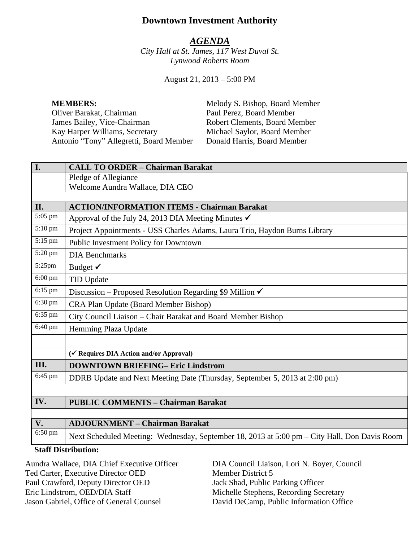# **Downtown Investment Authority**

#### *AGENDA*

*City Hall at St. James, 117 West Duval St. Lynwood Roberts Room*

August 21, 2013 – 5:00 PM

**MEMBERS:** Melody S. Bishop, Board Member Oliver Barakat, Chairman Paul Perez, Board Member<br>
James Bailey, Vice-Chairman Robert Clements, Board Me James Bailey, Vice-Chairman Robert Clements, Board Member<br>
Kay Harper Williams, Secretary Michael Saylor, Board Member Antonio "Tony" Allegretti, Board Member Donald Harris, Board Member

Michael Saylor, Board Member

| I.                         | <b>CALL TO ORDER - Chairman Barakat</b>                                                      |
|----------------------------|----------------------------------------------------------------------------------------------|
|                            | Pledge of Allegiance                                                                         |
|                            | Welcome Aundra Wallace, DIA CEO                                                              |
|                            |                                                                                              |
| II.                        | <b>ACTION/INFORMATION ITEMS - Chairman Barakat</b>                                           |
| 5:05 pm                    | Approval of the July 24, 2013 DIA Meeting Minutes $\checkmark$                               |
| 5:10 pm                    | Project Appointments - USS Charles Adams, Laura Trio, Haydon Burns Library                   |
| 5:15 pm                    | Public Investment Policy for Downtown                                                        |
| 5:20 pm                    | <b>DIA Benchmarks</b>                                                                        |
| 5:25pm                     | Budget $\checkmark$                                                                          |
| $6:00$ pm                  | <b>TID Update</b>                                                                            |
| 6:15 pm                    | Discussion – Proposed Resolution Regarding \$9 Million $\checkmark$                          |
| 6:30 pm                    | CRA Plan Update (Board Member Bishop)                                                        |
| 6:35 pm                    | City Council Liaison - Chair Barakat and Board Member Bishop                                 |
| 6:40 pm                    | Hemming Plaza Update                                                                         |
|                            |                                                                                              |
|                            | (√ Requires DIA Action and/or Approval)                                                      |
| III.                       | <b>DOWNTOWN BRIEFING- Eric Lindstrom</b>                                                     |
| 6:45 pm                    | DDRB Update and Next Meeting Date (Thursday, September 5, 2013 at 2:00 pm)                   |
|                            |                                                                                              |
| IV.                        | <b>PUBLIC COMMENTS - Chairman Barakat</b>                                                    |
|                            |                                                                                              |
| V.                         | <b>ADJOURNMENT - Chairman Barakat</b>                                                        |
| 6:50 pm                    | Next Scheduled Meeting: Wednesday, September 18, 2013 at 5:00 pm – City Hall, Don Davis Room |
| <b>Staff Distribution:</b> |                                                                                              |

Aundra Wallace, DIA Chief Executive Officer Ted Carter, Executive Director OED Paul Crawford, Deputy Director OED Eric Lindstrom, OED/DIA Staff Jason Gabriel, Office of General Counsel

DIA Council Liaison, Lori N. Boyer, Council Member District 5 Jack Shad, Public Parking Officer Michelle Stephens, Recording Secretary David DeCamp, Public Information Office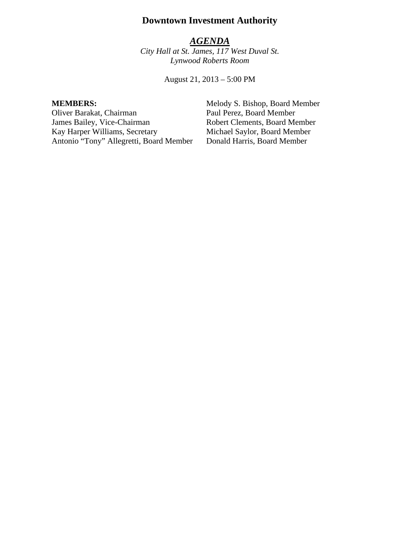# **Downtown Investment Authority**

#### *AGENDA*

*City Hall at St. James, 117 West Duval St. Lynwood Roberts Room*

August 21, 2013 – 5:00 PM

Oliver Barakat, Chairman Paul Perez, Board Member James Bailey, Vice-Chairman Robert Clements, Board Member<br>
Kay Harper Williams, Secretary Michael Saylor, Board Member Kay Harper Williams, Secretary Michael Saylor, Board Member<br>Antonio "Tony" Allegretti, Board Member Donald Harris, Board Member Antonio "Tony" Allegretti, Board Member

**MEMBERS:** Melody S. Bishop, Board Member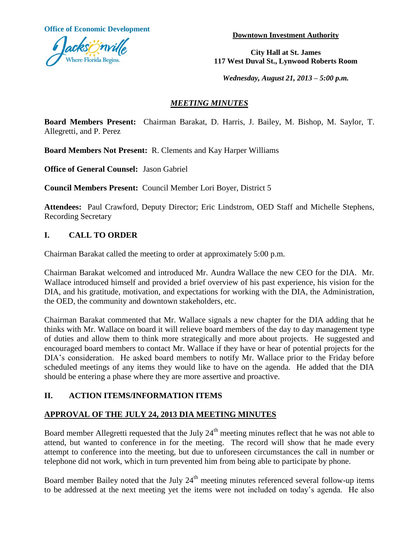**Office of Economic Development**



**Downtown Investment Authority**

**City Hall at St. James 117 West Duval St., Lynwood Roberts Room**

*Wednesday, August 21, 2013 – 5:00 p.m.*

#### *MEETING MINUTES*

**Board Members Present:** Chairman Barakat, D. Harris, J. Bailey, M. Bishop, M. Saylor, T. Allegretti, and P. Perez

**Board Members Not Present:** R. Clements and Kay Harper Williams

**Office of General Counsel:** Jason Gabriel

**Council Members Present:** Council Member Lori Boyer, District 5

**Attendees:** Paul Crawford, Deputy Director; Eric Lindstrom, OED Staff and Michelle Stephens, Recording Secretary

## **I. CALL TO ORDER**

Chairman Barakat called the meeting to order at approximately 5:00 p.m.

Chairman Barakat welcomed and introduced Mr. Aundra Wallace the new CEO for the DIA. Mr. Wallace introduced himself and provided a brief overview of his past experience, his vision for the DIA, and his gratitude, motivation, and expectations for working with the DIA, the Administration, the OED, the community and downtown stakeholders, etc.

Chairman Barakat commented that Mr. Wallace signals a new chapter for the DIA adding that he thinks with Mr. Wallace on board it will relieve board members of the day to day management type of duties and allow them to think more strategically and more about projects. He suggested and encouraged board members to contact Mr. Wallace if they have or hear of potential projects for the DIA's consideration. He asked board members to notify Mr. Wallace prior to the Friday before scheduled meetings of any items they would like to have on the agenda. He added that the DIA should be entering a phase where they are more assertive and proactive.

# **II. ACTION ITEMS/INFORMATION ITEMS**

#### **APPROVAL OF THE JULY 24, 2013 DIA MEETING MINUTES**

Board member Allegretti requested that the July 24<sup>th</sup> meeting minutes reflect that he was not able to attend, but wanted to conference in for the meeting. The record will show that he made every attempt to conference into the meeting, but due to unforeseen circumstances the call in number or telephone did not work, which in turn prevented him from being able to participate by phone.

Board member Bailey noted that the July 24<sup>th</sup> meeting minutes referenced several follow-up items to be addressed at the next meeting yet the items were not included on today's agenda. He also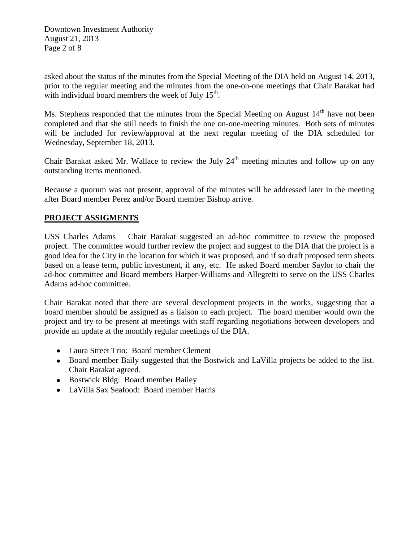Downtown Investment Authority August 21, 2013 Page 2 of 8

asked about the status of the minutes from the Special Meeting of the DIA held on August 14, 2013, prior to the regular meeting and the minutes from the one-on-one meetings that Chair Barakat had with individual board members the week of July  $15<sup>th</sup>$ .

Ms. Stephens responded that the minutes from the Special Meeting on August  $14<sup>th</sup>$  have not been completed and that she still needs to finish the one on-one-meeting minutes. Both sets of minutes will be included for review/approval at the next regular meeting of the DIA scheduled for Wednesday, September 18, 2013.

Chair Barakat asked Mr. Wallace to review the July  $24<sup>th</sup>$  meeting minutes and follow up on any outstanding items mentioned.

Because a quorum was not present, approval of the minutes will be addressed later in the meeting after Board member Perez and/or Board member Bishop arrive.

#### **PROJECT ASSIGMENTS**

USS Charles Adams – Chair Barakat suggested an ad-hoc committee to review the proposed project. The committee would further review the project and suggest to the DIA that the project is a good idea for the City in the location for which it was proposed, and if so draft proposed term sheets based on a lease term, public investment, if any, etc. He asked Board member Saylor to chair the ad-hoc committee and Board members Harper-Williams and Allegretti to serve on the USS Charles Adams ad-hoc committee.

Chair Barakat noted that there are several development projects in the works, suggesting that a board member should be assigned as a liaison to each project. The board member would own the project and try to be present at meetings with staff regarding negotiations between developers and provide an update at the monthly regular meetings of the DIA.

- Laura Street Trio: Board member Clement
- Board member Baily suggested that the Bostwick and LaVilla projects be added to the list. Chair Barakat agreed.
- Bostwick Bldg: Board member Bailey
- LaVilla Sax Seafood: Board member Harris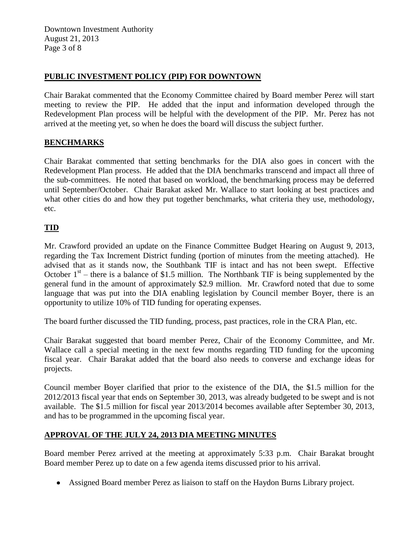Downtown Investment Authority August 21, 2013 Page 3 of 8

#### **PUBLIC INVESTMENT POLICY (PIP) FOR DOWNTOWN**

Chair Barakat commented that the Economy Committee chaired by Board member Perez will start meeting to review the PIP. He added that the input and information developed through the Redevelopment Plan process will be helpful with the development of the PIP. Mr. Perez has not arrived at the meeting yet, so when he does the board will discuss the subject further.

# **BENCHMARKS**

Chair Barakat commented that setting benchmarks for the DIA also goes in concert with the Redevelopment Plan process. He added that the DIA benchmarks transcend and impact all three of the sub-committees. He noted that based on workload, the benchmarking process may be deferred until September/October. Chair Barakat asked Mr. Wallace to start looking at best practices and what other cities do and how they put together benchmarks, what criteria they use, methodology, etc.

# **TID**

Mr. Crawford provided an update on the Finance Committee Budget Hearing on August 9, 2013, regarding the Tax Increment District funding (portion of minutes from the meeting attached). He advised that as it stands now, the Southbank TIF is intact and has not been swept. Effective October  $1<sup>st</sup>$  – there is a balance of \$1.5 million. The Northbank TIF is being supplemented by the general fund in the amount of approximately \$2.9 million. Mr. Crawford noted that due to some language that was put into the DIA enabling legislation by Council member Boyer, there is an opportunity to utilize 10% of TID funding for operating expenses.

The board further discussed the TID funding, process, past practices, role in the CRA Plan, etc.

Chair Barakat suggested that board member Perez, Chair of the Economy Committee, and Mr. Wallace call a special meeting in the next few months regarding TID funding for the upcoming fiscal year. Chair Barakat added that the board also needs to converse and exchange ideas for projects.

Council member Boyer clarified that prior to the existence of the DIA, the \$1.5 million for the 2012/2013 fiscal year that ends on September 30, 2013, was already budgeted to be swept and is not available. The \$1.5 million for fiscal year 2013/2014 becomes available after September 30, 2013, and has to be programmed in the upcoming fiscal year.

#### **APPROVAL OF THE JULY 24, 2013 DIA MEETING MINUTES**

Board member Perez arrived at the meeting at approximately 5:33 p.m. Chair Barakat brought Board member Perez up to date on a few agenda items discussed prior to his arrival.

Assigned Board member Perez as liaison to staff on the Haydon Burns Library project.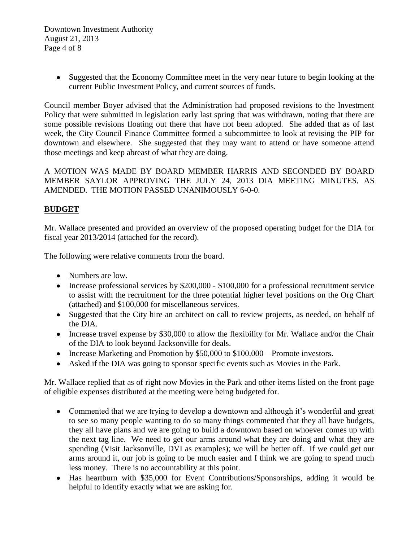Downtown Investment Authority August 21, 2013 Page 4 of 8

> Suggested that the Economy Committee meet in the very near future to begin looking at the current Public Investment Policy, and current sources of funds.

Council member Boyer advised that the Administration had proposed revisions to the Investment Policy that were submitted in legislation early last spring that was withdrawn, noting that there are some possible revisions floating out there that have not been adopted. She added that as of last week, the City Council Finance Committee formed a subcommittee to look at revising the PIP for downtown and elsewhere. She suggested that they may want to attend or have someone attend those meetings and keep abreast of what they are doing.

A MOTION WAS MADE BY BOARD MEMBER HARRIS AND SECONDED BY BOARD MEMBER SAYLOR APPROVING THE JULY 24, 2013 DIA MEETING MINUTES, AS AMENDED. THE MOTION PASSED UNANIMOUSLY 6-0-0.

## **BUDGET**

Mr. Wallace presented and provided an overview of the proposed operating budget for the DIA for fiscal year 2013/2014 (attached for the record).

The following were relative comments from the board.

- Numbers are low.
- Increase professional services by \$200,000 \$100,000 for a professional recruitment service to assist with the recruitment for the three potential higher level positions on the Org Chart (attached) and \$100,000 for miscellaneous services.
- Suggested that the City hire an architect on call to review projects, as needed, on behalf of the DIA.
- Increase travel expense by \$30,000 to allow the flexibility for Mr. Wallace and/or the Chair of the DIA to look beyond Jacksonville for deals.
- Increase Marketing and Promotion by \$50,000 to \$100,000 Promote investors.
- Asked if the DIA was going to sponsor specific events such as Movies in the Park.

Mr. Wallace replied that as of right now Movies in the Park and other items listed on the front page of eligible expenses distributed at the meeting were being budgeted for.

- Commented that we are trying to develop a downtown and although it's wonderful and great to see so many people wanting to do so many things commented that they all have budgets, they all have plans and we are going to build a downtown based on whoever comes up with the next tag line. We need to get our arms around what they are doing and what they are spending (Visit Jacksonville, DVI as examples); we will be better off. If we could get our arms around it, our job is going to be much easier and I think we are going to spend much less money. There is no accountability at this point.
- Has heartburn with \$35,000 for Event Contributions/Sponsorships, adding it would be helpful to identify exactly what we are asking for.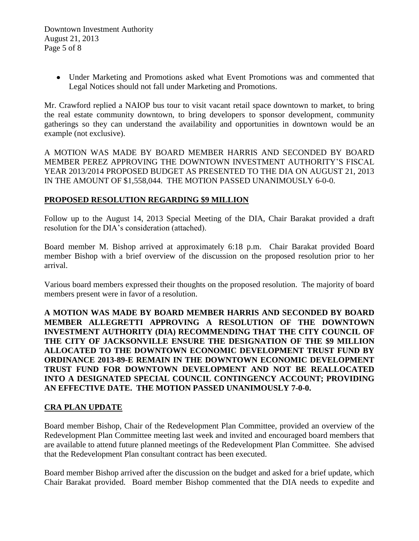Under Marketing and Promotions asked what Event Promotions was and commented that Legal Notices should not fall under Marketing and Promotions.

Mr. Crawford replied a NAIOP bus tour to visit vacant retail space downtown to market, to bring the real estate community downtown, to bring developers to sponsor development, community gatherings so they can understand the availability and opportunities in downtown would be an example (not exclusive).

A MOTION WAS MADE BY BOARD MEMBER HARRIS AND SECONDED BY BOARD MEMBER PEREZ APPROVING THE DOWNTOWN INVESTMENT AUTHORITY'S FISCAL YEAR 2013/2014 PROPOSED BUDGET AS PRESENTED TO THE DIA ON AUGUST 21, 2013 IN THE AMOUNT OF \$1,558,044. THE MOTION PASSED UNANIMOUSLY 6-0-0.

## **PROPOSED RESOLUTION REGARDING \$9 MILLION**

Follow up to the August 14, 2013 Special Meeting of the DIA, Chair Barakat provided a draft resolution for the DIA's consideration (attached).

Board member M. Bishop arrived at approximately 6:18 p.m. Chair Barakat provided Board member Bishop with a brief overview of the discussion on the proposed resolution prior to her arrival.

Various board members expressed their thoughts on the proposed resolution. The majority of board members present were in favor of a resolution.

**A MOTION WAS MADE BY BOARD MEMBER HARRIS AND SECONDED BY BOARD MEMBER ALLEGRETTI APPROVING A RESOLUTION OF THE DOWNTOWN INVESTMENT AUTHORITY (DIA) RECOMMENDING THAT THE CITY COUNCIL OF THE CITY OF JACKSONVILLE ENSURE THE DESIGNATION OF THE \$9 MILLION ALLOCATED TO THE DOWNTOWN ECONOMIC DEVELOPMENT TRUST FUND BY ORDINANCE 2013-89-E REMAIN IN THE DOWNTOWN ECONOMIC DEVELOPMENT TRUST FUND FOR DOWNTOWN DEVELOPMENT AND NOT BE REALLOCATED INTO A DESIGNATED SPECIAL COUNCIL CONTINGENCY ACCOUNT; PROVIDING AN EFFECTIVE DATE. THE MOTION PASSED UNANIMOUSLY 7-0-0.**

#### **CRA PLAN UPDATE**

Board member Bishop, Chair of the Redevelopment Plan Committee, provided an overview of the Redevelopment Plan Committee meeting last week and invited and encouraged board members that are available to attend future planned meetings of the Redevelopment Plan Committee. She advised that the Redevelopment Plan consultant contract has been executed.

Board member Bishop arrived after the discussion on the budget and asked for a brief update, which Chair Barakat provided. Board member Bishop commented that the DIA needs to expedite and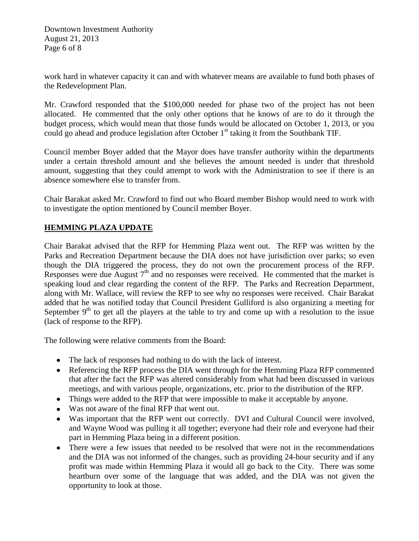Downtown Investment Authority August 21, 2013 Page 6 of 8

work hard in whatever capacity it can and with whatever means are available to fund both phases of the Redevelopment Plan.

Mr. Crawford responded that the \$100,000 needed for phase two of the project has not been allocated. He commented that the only other options that he knows of are to do it through the budget process, which would mean that those funds would be allocated on October 1, 2013, or you could go ahead and produce legislation after October  $1<sup>st</sup>$  taking it from the Southbank TIF.

Council member Boyer added that the Mayor does have transfer authority within the departments under a certain threshold amount and she believes the amount needed is under that threshold amount, suggesting that they could attempt to work with the Administration to see if there is an absence somewhere else to transfer from.

Chair Barakat asked Mr. Crawford to find out who Board member Bishop would need to work with to investigate the option mentioned by Council member Boyer.

## **HEMMING PLAZA UPDATE**

Chair Barakat advised that the RFP for Hemming Plaza went out. The RFP was written by the Parks and Recreation Department because the DIA does not have jurisdiction over parks; so even though the DIA triggered the process, they do not own the procurement process of the RFP. Responses were due August  $7<sup>th</sup>$  and no responses were received. He commented that the market is speaking loud and clear regarding the content of the RFP. The Parks and Recreation Department, along with Mr. Wallace, will review the RFP to see why no responses were received. Chair Barakat added that he was notified today that Council President Gulliford is also organizing a meeting for September  $9<sup>th</sup>$  to get all the players at the table to try and come up with a resolution to the issue (lack of response to the RFP).

The following were relative comments from the Board:

- The lack of responses had nothing to do with the lack of interest.
- Referencing the RFP process the DIA went through for the Hemming Plaza RFP commented that after the fact the RFP was altered considerably from what had been discussed in various meetings, and with various people, organizations, etc. prior to the distribution of the RFP.
- Things were added to the RFP that were impossible to make it acceptable by anyone.
- Was not aware of the final RFP that went out.
- Was important that the RFP went out correctly. DVI and Cultural Council were involved, and Wayne Wood was pulling it all together; everyone had their role and everyone had their part in Hemming Plaza being in a different position.
- There were a few issues that needed to be resolved that were not in the recommendations and the DIA was not informed of the changes, such as providing 24-hour security and if any profit was made within Hemming Plaza it would all go back to the City. There was some heartburn over some of the language that was added, and the DIA was not given the opportunity to look at those.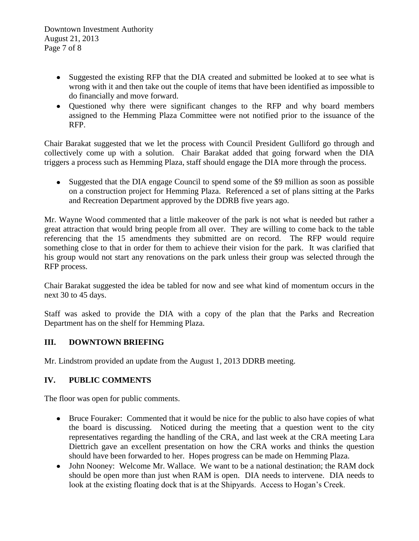- Suggested the existing RFP that the DIA created and submitted be looked at to see what is wrong with it and then take out the couple of items that have been identified as impossible to do financially and move forward.
- Ouestioned why there were significant changes to the RFP and why board members assigned to the Hemming Plaza Committee were not notified prior to the issuance of the RFP.

Chair Barakat suggested that we let the process with Council President Gulliford go through and collectively come up with a solution. Chair Barakat added that going forward when the DIA triggers a process such as Hemming Plaza, staff should engage the DIA more through the process.

Suggested that the DIA engage Council to spend some of the \$9 million as soon as possible on a construction project for Hemming Plaza. Referenced a set of plans sitting at the Parks and Recreation Department approved by the DDRB five years ago.

Mr. Wayne Wood commented that a little makeover of the park is not what is needed but rather a great attraction that would bring people from all over. They are willing to come back to the table referencing that the 15 amendments they submitted are on record. The RFP would require something close to that in order for them to achieve their vision for the park. It was clarified that his group would not start any renovations on the park unless their group was selected through the RFP process.

Chair Barakat suggested the idea be tabled for now and see what kind of momentum occurs in the next 30 to 45 days.

Staff was asked to provide the DIA with a copy of the plan that the Parks and Recreation Department has on the shelf for Hemming Plaza.

# **III. DOWNTOWN BRIEFING**

Mr. Lindstrom provided an update from the August 1, 2013 DDRB meeting.

# **IV. PUBLIC COMMENTS**

The floor was open for public comments.

- Bruce Fouraker: Commented that it would be nice for the public to also have copies of what the board is discussing. Noticed during the meeting that a question went to the city representatives regarding the handling of the CRA, and last week at the CRA meeting Lara Diettrich gave an excellent presentation on how the CRA works and thinks the question should have been forwarded to her. Hopes progress can be made on Hemming Plaza.
- John Nooney: Welcome Mr. Wallace. We want to be a national destination; the RAM dock should be open more than just when RAM is open. DIA needs to intervene. DIA needs to look at the existing floating dock that is at the Shipyards. Access to Hogan's Creek.